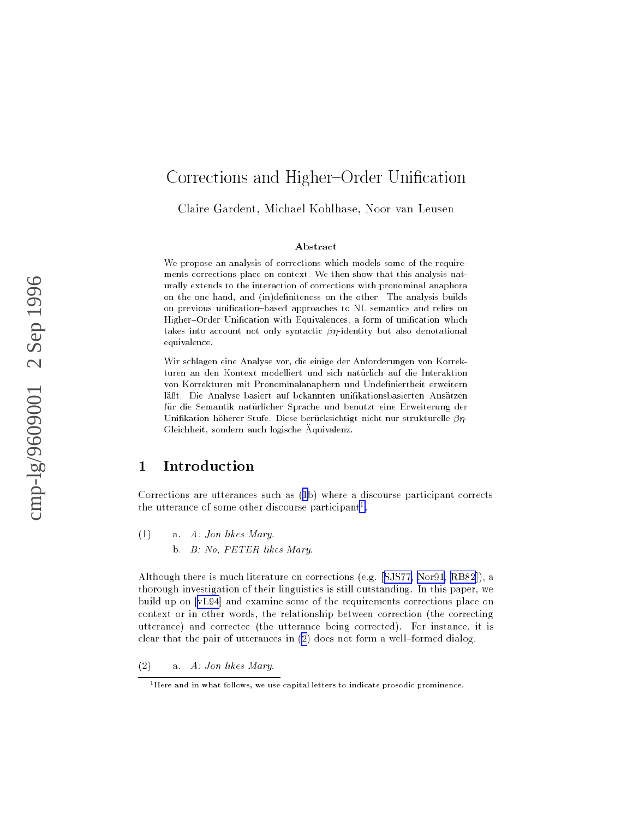# <span id="page-0-0"></span>Corrections and Higher{Order Unication

Claire Gardent, Michael Kohlhase, Noor van Leusen

### Abstract

We propose an analysis of corrections which models some of the requirements corrections place on context. We then show that this analysis naturally extends to the interaction of corrections with pronominal anaphora on the one hand, and (in)definiteness on the other. The analysis builds on previous unification-based approaches to NL semantics and relies on  $\mathbf{H}$  , a form of unit cation with Equivalences, a form of units with  $\mathbf{H}$  , a form of units which with  $\mathbf{H}$ takes into accoun t not only syntactic -identit y but also denotational equivalence.

Wir schlagen eine Analyse vor, die einige der Anforderungen von Korrekturen an den Kontext modelliert und sich naturlich auf die Interaktion von Korrekturen mit Pronominalanaphern und Undefiniertheit erweitern laßt. Die Analyse basiert auf bekannten unifikationsbasierten Ansätzen fur die Semantik naturlicher Sprache und benutzt eine Erweiterung der . Hiller Stuffer Stuffer beruckten die Stuffer in die Stuffer von der Stuffer der Stuffer der Stuffer der Stuffer Gleichheit, sondern auch logische Aquivalenz.

# <sup>1</sup> Introduction

Corrections are utterances such as (1b) where a discourse participant corrects the utterance of some other discourse participant .

- (1) a. A: Jon likes Mary.
	- b. B: No, PETER likes Mary.

Although there is much literature on corrections (e.g. [[SJS77, Nor91, RB82](#page-11-0)]), a thorough in vestigation of their linguistics is still outstanding. In this paper, w e build up on [[vL94](#page-11-0)] and examine some of the requirements corrections place on context or in other words, the relationship bet ween correction (the correcting utterance) and corrected (the utterance being corrected). The utterance being corrected, it is instance, it is clear that the pair of utterances in  $(2)$  does not form a well-formed dialog.

(2) a. A: Jon likes Mary.

<sup>&</sup>lt;sup>1</sup>Here and in what follows, we use capital letters to indicate prosodic prominence.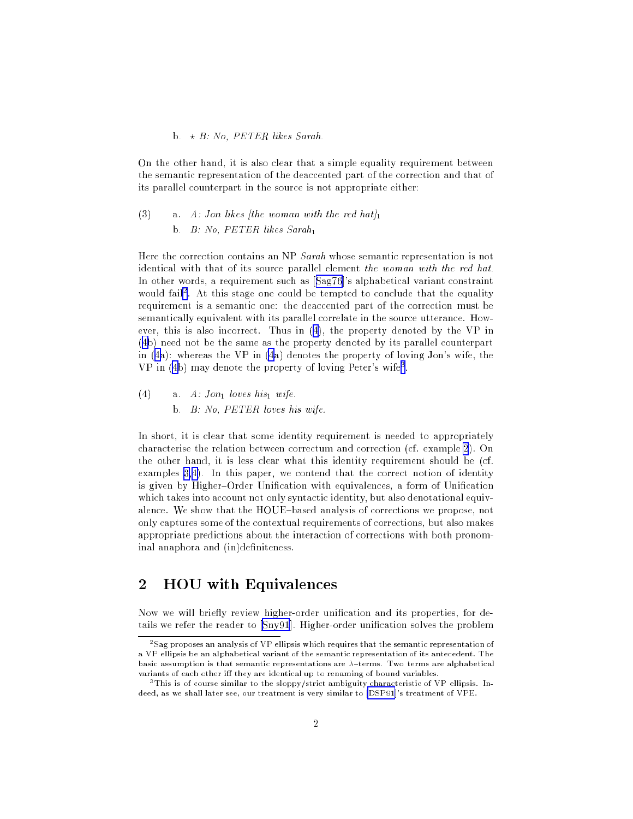### b.  $\star$  B: No, PETER likes Sarah.

<span id="page-1-0"></span>On the other hand, it is also clear that a simple equality requirement between the semantic representation of the deaccented part of the correction and that of its parallel counterpart in the source is not appropriate either:

(3) a. A: Jon likes [the woman with the red hat]<sub>1</sub> b.  $B: No, PETER$  likes  $Sarah<sub>1</sub>$ 

Here the correction contains an NP Sarah whose semantic representation is not identical with that of its source parallel element the woman with the red hat. In other words, a requirement such as [[Sag76\]](#page-11-0)'s alphabetical variant constraint would fail2 . At this stage one could be tempted to conclude that the equality requirement is a semantic one: the deaccented part of the correction must be semantically equivalent with its parallel correlate in the source utterance. However, this is also incorrect. Thus in (4), the property denoted by the VP in (4b) need not be the same as the property denoted by its parallel counterpart in (4a): whereas the VP in (4a) denotes the property of loving Jon's wife, the VP in (4b) may denote the property of loving Peter's wife<sup>3</sup>.

(4) a. A:  $Jon_1$  loves his<sub>1</sub> wife. b. B: No, PETER loves his wife.

In short, it is clear that some identity requirement is needed to appropriately characterise the relation between correctum and correction (cf. example [2](#page-0-0)). On the other hand, it is less clear what this identity requirement should be (cf. examples 3,4). In this paper, we contend that the correct notion of identity is given by Higher-Order Unification with equivalences, a form of Unification which takes into account not only syntactic identity, but also denotational equivalence. We show that the HOUE-based analysis of corrections we propose, not only captures some of the contextual requirements of corrections, but also makes appropriate predictions about the interaction of corrections with both pronominal anaphora and (in)definiteness.

### $\overline{2}$ <sup>2</sup> HOU with Equivalences

Now we will briefly review higher-order unification and its properties, for details we refer the reader to [\[Sny91](#page-11-0)]. Higher-order unication solves the problem

<sup>2</sup> Sag proposes an analysis of VP ellipsis which requires that the semantic representation of a VP ellipsis be an alphabetical variant of the semantic representation of its antecedent. The basic assumption is that semantic representations are  $\lambda$ -terms. Two terms are alphabetical variants of each other iff they are identical up to renaming of bound variables.

 $3$ This is of course similar to the sloppy/strict ambiguity characteristic of VP ellipsis. Indeed, as we shall later see, our treatment is very similar to [\[DSP91\]](#page-10-0)'s treatment of VPE.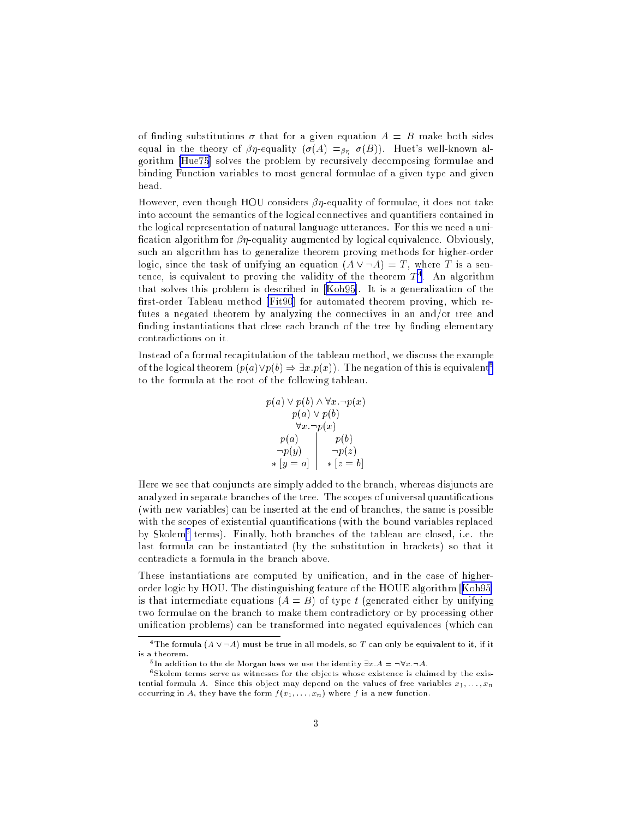of finding substitutions  $\sigma$  that for a given equation  $A = B$  make both sides equal in the theory of  $\beta \eta$ -equality  $(\sigma(A) =_{\beta \eta} \sigma(B))$ . Huet's well-known algorithm [[Hue75](#page-11-0)] solves the problem by recursively decomposing formulae and binding Function variables to most general formulae of a given type and given head.

However, even though HOU considers  $\beta\eta$ -equality of formulae, it does not take into account the semantics of the logical connectives and quantifiers contained in the logical representation of natural language utterances. For this we need a uni fication algorithm for  $\beta\eta$ -equality augmented by logical equivalence. Obviously, such an algorithm has to generalize theorem proving methods for higher-order logic, since the task of unifying an equation  $(A \vee \neg A) = T$ , where T is a sentence, is equivalent to proving the validity of the theorem  $T^4$ . An algorithm that solves this problem is described in [[Koh95\]](#page-11-0). It is a generalization of the first-order Tableau method [\[Fit90](#page-11-0)] for automated theorem proving, which refutes a negated theorem by analyzing the connectives in an and/or tree and finding instantiations that close each branch of the tree by finding elementary contradictions on it.

Instead of a formal recapitulation of the tableau method, we discuss the example of the logical theorem  $(p(a) \lor p(b) \Rightarrow \exists x. p(x))$ . The negation of this is equivalent<sup>5</sup> to the formula at the root of the following tableau.

$$
p(a) \lor p(b) \land \forall x.\neg p(x)
$$
  
\n
$$
p(a) \lor p(b)
$$
  
\n
$$
\forall x.\neg p(x)
$$
  
\n
$$
p(a)
$$
  
\n
$$
\neg p(y)
$$
  
\n
$$
\neg p(z)
$$
  
\n
$$
* [y = a]
$$
  
\n
$$
p(z) = b
$$

Here we see that conjuncts are simply added to the branch, whereas disjuncts are analyzed in separate branches of the tree. The scopes of universal quantications (with new variables) can be inserted at the end of branches, the same is possible with the scopes of existential quantifications (with the bound variables replaced by Skolemflerms). Finally, both branches of the tableau are closed, i.e. the last formula can be instantiated (by the substitution in brackets) so that it contradicts a formula in the branch above.

These instantiations are computed by unification, and in the case of higherorder logic by HOU. The distinguishing feature of the HOUE algorithm [[Koh95\]](#page-11-0) is that intermediate equations  $(A = B)$  of type t (generated either by unifying two formulae on the branch to make them contradictory or by processing other unification problems) can be transformed into negated equivalences (which can

<sup>&</sup>lt;sup>4</sup>The formula  $(A \vee \neg A)$  must be true in all models, so T can only be equivalent to it, if it is a theorem.

 ${}^{\circ}\mathrm{In}$  addition to the de Morgan laws we use the identity  $\exists x.A = \neg \forall x.\neg A.$ 

<sup>-</sup>Skolem terms serve as witnesses for the objects whose existence is claimed by the existential formula A. Since this object may depend on the values of free variables  $x_1, \ldots, x_n$ occurring in A, they have the form  $f(x_1, \ldots, x_n)$  where f is a new function.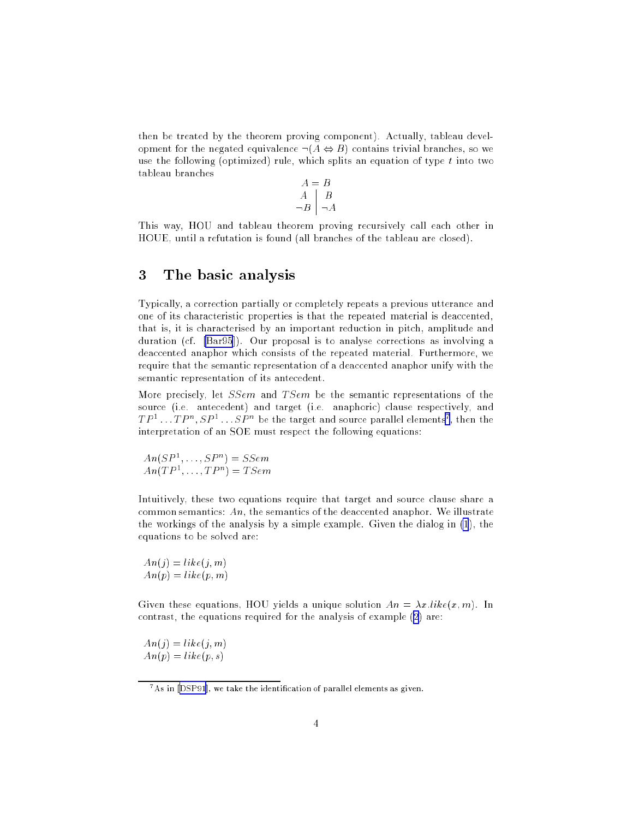<span id="page-3-0"></span>then be treated by the theorem proving component). Actually, tableau development for the negated equivalence  $\neg(A \Leftrightarrow B)$  contains trivial branches, so we use the following (optimized) rule, which splits an equation of type  $t$  into two tableau branches

$$
A = B
$$
  

$$
A \mid B
$$
  

$$
\neg B \mid \neg A
$$

This way, HOU and tableau theorem proving recursively call each other in HOUE, until a refutation is found (all branches of the tableau are closed).

#### 3 <sup>3</sup> The basic analysis

Typically, a correction partially or completely repeats a previous utterance and one of its characteristic properties is that the repeated material is deaccented, that is, it is characterised by an important reduction in pitch, amplitude and duration (cf. [\[Bar95](#page-10-0)]). Our proposal is to analyse corrections as involving a deaccented anaphor which consists of the repeated material. Furthermore, we require that the semantic representation of a deaccented anaphor unify with the semantic representation of its antecedent.

More precisely, let  $SSem$  and  $TSem$  be the semantic representations of the source (i.e. antecedent) and target (i.e. anaphoric) clause respectively, and  $TP^{1}\ldots TP^{n}, SP^{1}\ldots SP^{n}$  be the target and source parallel elements', then the interpretation of an SOE must respect the following equations:

$$
An (SP1, ..., SPn) = SSem An (TP1, ..., TPn) = TSem
$$

Intuitively, these two equations require that target and source clause share a common semantics:  $An$ , the semantics of the deaccented anaphor. We illustrate the workings of the analysis by a simple example. Given the dialog in [\(1](#page-0-0)), the equations to be solved are:

 $An(j) = like(j, m)$  $An(p) = like(p, m)$ 

Given these equations, HOU yields a unique solution  $An = \lambda x \, like(x, m)$ . In contrast, the equations required for the analysis of example [\(2](#page-0-0)) are:

 $An(j) = like(j, m)$  $An(p) = like(p, s)$ 

<sup>7</sup>As in [[DSP91](#page-10-0)], we take the identication of parallel elements as given.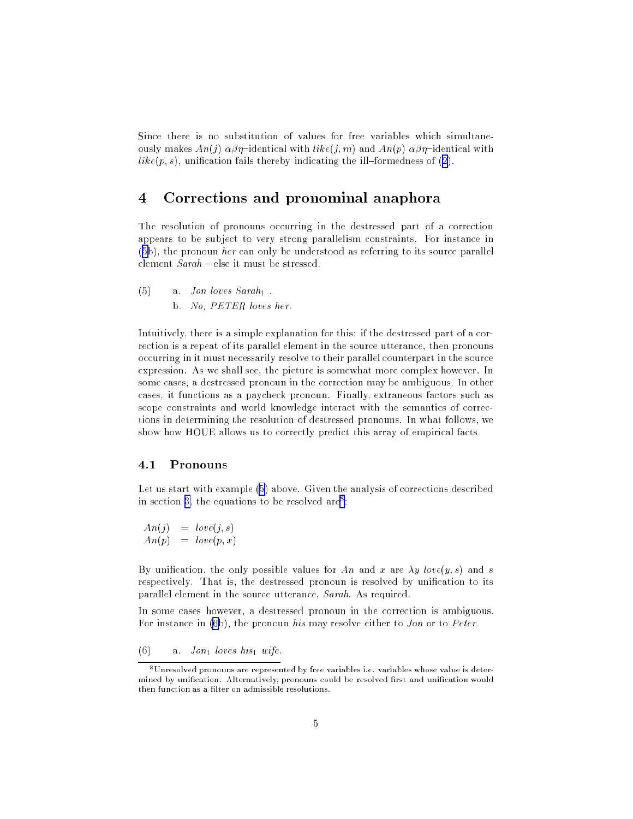<span id="page-4-0"></span>Since there is no substitution of values for free variables which simultaneously makes  $An(j) \alpha \beta \eta$ -identical with  $like(j, m)$  and  $An(p) \alpha \beta \eta$ -identical with like(p, s), unification fails thereby indicating the ill-formedness of ([2\)](#page-0-0).

#### <sup>4</sup> Corrections and pronominal anaphora  $\overline{4}$

The resolution of pronouns occurring in the destressed part of a correction appears to be subject to very strong parallelism constraints. For instance in (5b), the pronoun her can only be understood as referring to its source parallel element  $Sarah - else$  it must be stressed.

- $(5)$  a. Jon loves Sarah<sub>1</sub>.
	- b. No, PETER loves her.

Intuitively, there is a simple explanation for this: if the destressed part of a correction is a repeat of its parallel element in the source utterance, then pronouns occurring in it must necessarily resolve to their parallel counterpart in the source expression. As we shall see, the picture is somewhat more complex however. In some cases, a destressed pronoun in the correction may be ambiguous. In other cases, it functions as a paycheck pronoun. Finally, extraneous factors such as scope constraints and world knowledge interact with the semantics of corrections in determining the resolution of destressed pronouns. In what follows, we show how HOUE allows us to correctly predict this array of empirical facts.

Let us start with example (5) above. Given the analysis of corrections described in section  $\sigma$ , the equations to be resolved are :

 $An(j) = love(j, s)$  $An(p) = love(p, x)$ 

By unification, the only possible values for An and x are  $\lambda y \,love(y, s)$  and s respectively. That is, the destressed pronoun is resolved by unification to its parallel element in the source utterance, Sarah. As required.

In some cases however, a destressed pronoun in the correction is ambiguous. For instance in (6b), the pronoun his may resolve either to Jon or to Peter.

(6) a. Jon<sub>1</sub> loves his<sub>1</sub> wife.

<sup>8</sup>Unresolved pronouns are represented by free variables i.e. variables whose value is determined by unification. Alternatively, pronouns could be resolved first and unification would then function as a filter on admissible resolutions.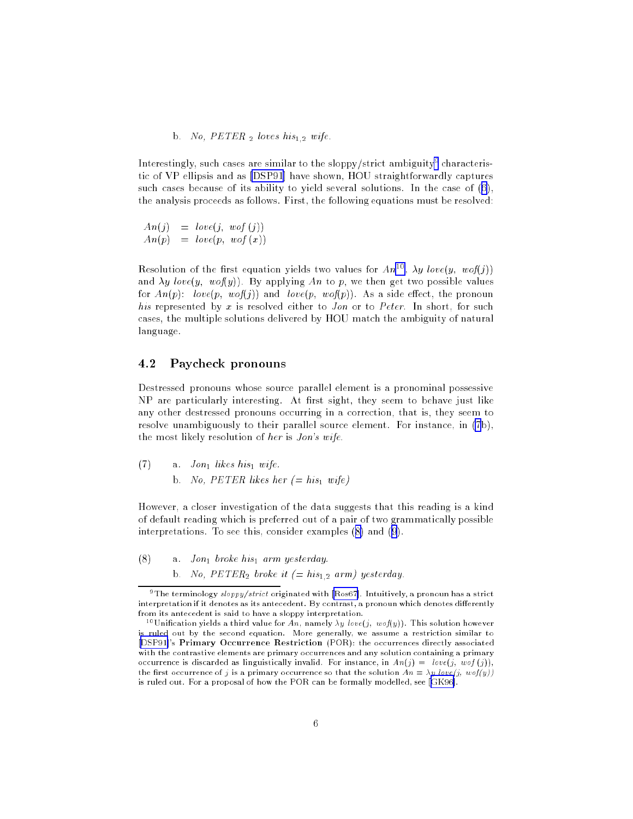b. No, PETER <sup>2</sup> loves his1;2 wife.

<span id="page-5-0"></span>Interestingly, such cases are similar to the sloppy/strict ambiguity<sup>9</sup> characteristic of VP ellipsis and as [\[DSP91](#page-10-0)] have shown, HOU straightforwardly captures such cases because of its ability to yield several solutions. In the case of ([6\)](#page-4-0), the analysis proceeds as follows. First, the following equations must be resolved:

 $An(j) = love(j, wof (j))$  $An(p) = love(p, wof(x))$ 

Resolution of the first equation yields two values for  $An^{10}$ ,  $\lambda y \;love(y, wof(j))$ and  $\lambda y \, \text{love}(y, \, \text{wof}(y))$ . By applying An to p, we then get two possible values for  $An(p)$ : love(p, wof(j)) and love(p, wof(p)). As a side effect, the pronoun his represented by  $x$  is resolved either to  $Jon$  or to  $Peter$ . In short, for such cases, the multiple solutions delivered by HOU match the ambiguity of natural language.

### 4.2 Paycheck pronouns

Destressed pronouns whose source parallel element is a pronominal possessive NP are particularly interesting. At first sight, they seem to behave just like any other destressed pronouns occurring in a correction, that is, they seem to resolve unambiguously to their parallel source element. For instance, in (7b), the most likely resolution of her is Jon's wife.

- (7) a.  $Jon_1$  likes his<sub>1</sub> wife.
	- b. No, PETER likes her  $(= his_1 \text{ wife})$

However, a closer investigation of the data suggests that this reading is a kind of default reading which is preferred out of a pair of two grammatically possible interpretations. To see this, consider examples (8) and ([9\)](#page-6-0).

(8) a. Jon<sub>1</sub> broke his<sub>1</sub> arm yesterday. b. No,  $PETER_2$  broke it (= his<sub>1,2</sub> arm) yesterday.

<sup>&</sup>lt;sup>9</sup>The terminology  $sloppy/strict$  originated with [\[Ros67\]](#page-11-0). Intuitively, a pronoun has a strict interpretation if it denotes as its antecedent. By contrast, a pronoun which denotes differently from its antecedent is said to have a sloppy interpretation.

<sup>&</sup>lt;sup>10</sup>Unification yields a third value for An, namely  $\lambda y$  love(j, wof(y)). This solution however is ruled out by the second equation. More generally, we assume a restriction similar to [\[DSP91\]](#page-10-0)'s Primary Occurrence Restriction (POR): the occurrences directly associated with the contrastive elements are primary occurrences and any solution containing a primary occurrence is discarded as linguistically invalid. For instance, in  $An(j) = \text{love}(j, \text{wof}(j)),$ the first occurrence of j is a primary occurrence so that the solution  $An = \lambda y \, \text{level}(j, \, \text{wof}(y))$ is ruled out. For a proposal of how the POR can be formally modelled, see [[GK96\]](#page-11-0).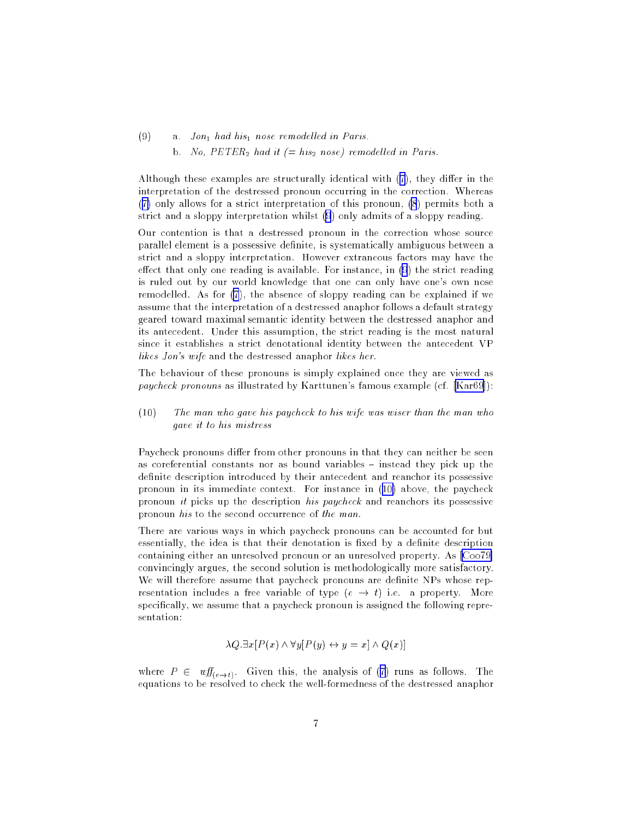<span id="page-6-0"></span>(9) a. Jon<sub>1</sub> had his<sub>1</sub> nose remodelled in Paris. b. No,  $PETER_2$  had it (= his<sub>2</sub> nose) remodelled in Paris.

Although these examples are structurally identical with  $(7)$  $(7)$ , they differ in the interpretation of the destressed pronoun occurring in the correction. Whereas ([7\)](#page-5-0) only allows for a strict interpretation of this pronoun, [\(8](#page-5-0)) permits both a strict and a sloppy interpretation whilst (9) only admits of a sloppy reading.

Our contention is that a destressed pronoun in the correction whose source parallel element is a possessive definite, is systematically ambiguous between a strict and a sloppy interpretation. However extraneous factors may have the effect that only one reading is available. For instance, in  $(9)$  the strict reading is ruled out by our world knowledge that one can only have one's own nose remodelled. As for [\(7](#page-5-0)), the absence of sloppy reading can be explained if we assume that the interpretation of a destressed anaphor follows a default strategy geared toward maximal semantic identity between the destressed anaphor and its antecedent. Under this assumption, the strict reading is the most natural since it establishes a strict denotational identity between the antecedent VP likes Jon's wife and the destressed anaphor likes her.

The behaviour of these pronouns is simply explained once they are viewed as paycheck pronouns as illustrated by Karttunen's famous example (cf. [\[Kar69\]](#page-11-0)):

 $(10)$ The man who gave his paycheck to his wife was wiser than the man who gave it to his mistress

Paycheck pronouns differ from other pronouns in that they can neither be seen as coreferential constants nor as bound variables { instead they pick up the definite description introduced by their antecedent and reanchor its possessive pronoun in its immediate context. For instance in (10) above, the paycheck pronoun it picks up the description his paycheck and reanchors its possessive pronoun his to the second occurrence of the man.

There are various ways in which paycheck pronouns can be accounted for but essentially, the idea is that their denotation is fixed by a definite description containing either an unresolved pronoun or an unresolved property. As [\[Coo79\]](#page-10-0) convincingly argues, the second solution is methodologically more satisfactory. We will therefore assume that paycheck pronouns are definite NPs whose representation includes a free variable of type  $(e \rightarrow t)$  i.e. a property. More specifically, we assume that a paycheck pronoun is assigned the following representation:

$$
\lambda Q \exists x [P(x) \land \forall y [P(y) \leftrightarrow y = x] \land Q(x)]
$$

where  $P \in \mathit{wf}_{(e \to t)}$ . Given this, the analysis of ([7\)](#page-5-0) runs as follows. The equations to be resolved to check the well-formedness of the destressed anaphor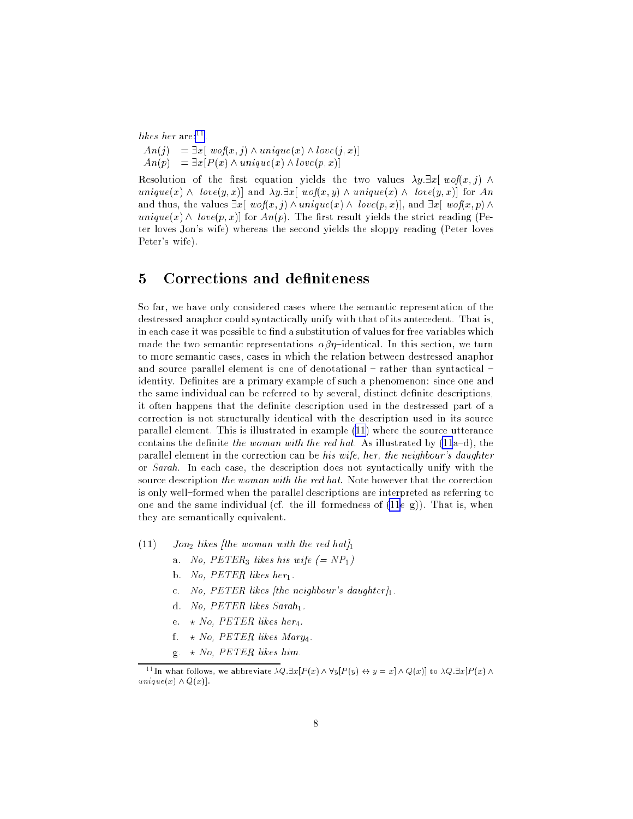<span id="page-7-0"></span>l*ikes her* are: 11

 $An(j) = \exists x [\; w \circ f(x, j) \land unique(x) \land love(j, x)]$  $An(p) = \exists x [P(x) \land unique(x) \land love(p, x)]$ 

Resolution of the first equation yields the two values  $\lambda y \exists x [ wof(x, j) \wedge$  $unique(x) \wedge \;love(y, x)]$  and  $\lambda y.\exists x[ \; wof(x, y) \wedge unique(x) \wedge \;love(y, x)]$  for  $An$ and thus, the values  $\exists x[ \; wof(x, j) \land unique(x) \land \; love(p, x)],$  and  $\exists x[ \; wof(x, p) \land$ unique(x)  $\wedge$  love(p, x)] for  $An(p)$ . The first result yields the strict reading (Peter loves Jon's wife) whereas the second yields the sloppy reading (Peter loves Peter's wife).

# 5 Corrections and definiteness

So far, we have only considered cases where the semantic representation of the destressed anaphor could syntactically unify with that of its antecedent. That is, in each case it was possible to find a substitution of values for free variables which made the two semantic representations  $\alpha \beta \eta$ -identical. In this section, we turn to more semantic cases, cases in which the relation between destressed anaphor and source parallel element is one of denotational  $-$  rather than syntactical  $$ identity. Definites are a primary example of such a phenomenon: since one and the same individual can be referred to by several, distinct definite descriptions, it often happens that the definite description used in the destressed part of a correction is not structurally identical with the description used in its source parallel element. This is illustrated in example (11) where the source utterance contains the definite the woman with the red hat. As illustrated by  $(11a-d)$ , the parallel element in the correction can be his wife, her, the neighbour's daughter or Sarah. In each case, the description does not syntactically unify with the source description the woman with the red hat. Note however that the correction is only well-formed when the parallel descriptions are interpreted as referring to one and the same individual (cf. the ill-formedness of  $(11e-g)$ ). That is, when they are semantically equivalent.

- $(11)$  Jon<sub>2</sub> likes [the woman with the red hat]<sub>1</sub>
	- a. No,  $PETER_3$  likes his wife  $(= NP_1)$
	- b. No,  $PETER$  likes her<sub>1</sub>.
	- c. No, PETER likes [the neighbour's daughter].
	- d. No.  $PETER$  likes Sarah<sub>1</sub>.
	- e.  $\star$  No, PETER likes her<sub>4</sub>.
	- f.  $\star$  No, PETER likes Mary<sub>4</sub>.
	- $\star$  No, PETER likes him.

<sup>&</sup>lt;sup>11</sup>In what follows, we abbreviate  $\lambda Q \cdot \exists x [P(x) \wedge \forall y [P(y) \leftrightarrow y = x] \wedge Q(x)]$  to  $\lambda Q \cdot \exists x [P(x) \wedge \exists y]$ unique(x)  $\wedge$  Q(x)].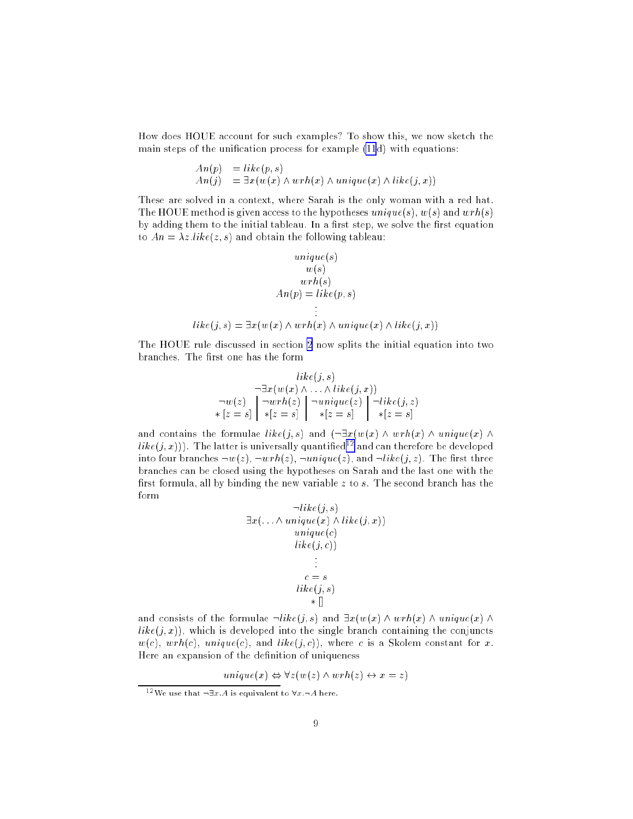How does HOUE account for such examples? To show this, we now sketch the main steps of the unification process for example [\(11](#page-7-0)d) with equations:

$$
An(p) = like(p, s)
$$
  
\n
$$
An(j) = \exists x (w(x) \land wrh(x) \land unique(x) \land like(j, x))
$$

These are solved in a context, where Sarah is the only woman with a red hat. The HOUE method is given access to the hypotheses  $unique(s)$ ,  $w(s)$  and  $wrh(s)$ by adding them to the initial tableau. In a first step, we solve the first equation to  $An = \lambda z$  like(z, s) and obtain the following tableau:

$$
unique(s)
$$
  
\n
$$
w(s)
$$
  
\n
$$
wnh(s)
$$
  
\n
$$
An(p) = like(p, s)
$$
  
\n
$$
like(j, s) = \exists x (w(x) \land wrh(x) \land unique(x) \land like(j, x))
$$

The HOUE rule discussed in section [2](#page-1-0) now splits the initial equation into two branches. The first one has the form

$$
\begin{array}{c} like(j,s)\\ \neg \exists x (w(x) \land \ldots \land like(j,x))\\ \neg w(x) \quad \neg wrh(z) \quad \neg unique(z) \quad \neg like(j,z)\\ * [z=s] \quad * [z=s] \quad * [z=s] \end{array}
$$

and contains the formulae like(j, s) and  $(\neg \exists x(w(x) \land wrh(x) \land unique(x) \land$  $like(j, x))$ . The latter is universally quantified<sup>12</sup> and can therefore be developed into four branches  $\neg w(z)$ ,  $\neg wrh(z)$ ,  $\neg unique(z)$ , and  $\neg like(j, z)$ . The first three branches can be closed using the hypotheses on Sarah and the last one with the first formula, all by binding the new variable  $z$  to  $s$ . The second branch has the form  $\ldots$ 

$$
\exists x (\ldots \wedge unique(x) \wedge like(j, x)) \\ \exists x (\ldots \wedge unique(x) \wedge like(j, x)) \\ unique(c) \\ like(j, c)) \\ \vdots \\ c = s \\ like(j, s) \\ *[]
$$

and consists of the formulae  $\neg like(j, s)$  and  $\exists x(w(x) \land wrh(x) \land unique(x) \land w$  $like(j, x)$ , which is developed into the single branch containing the conjuncts  $w(c)$ ,  $wrh(c)$ ,  $unique(c)$ , and  $like(j, c)$ ), where c is a Skolem constant for x. Here an expansion of the definition of uniqueness

$$
unique(x) \Leftrightarrow \forall z(w(z) \land wrh(z) \leftrightarrow x = z)
$$

<sup>&</sup>lt;sup>12</sup>We use that  $\overline{\neg \exists x.A}$  is equivalent to  $\forall x.\neg A$  here.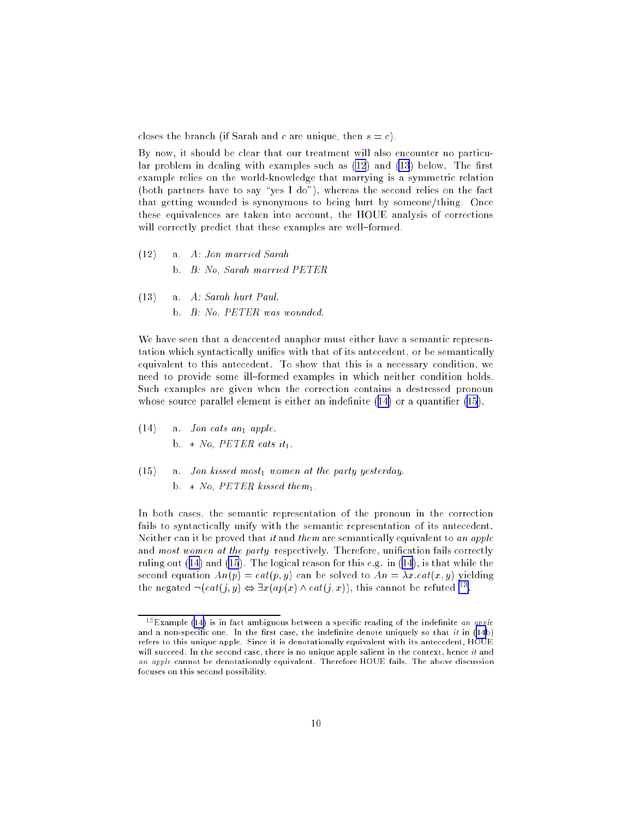<span id="page-9-0"></span>closes the branch (if Sarah and c are unique, then  $s = c$ ).

By now, it should be clear that our treatment will also encounter no particular problem in dealing with examples such as  $(12)$  and  $(13)$  below. The first example relies on the world-knowledge that marrying is a symmetric relation (both partners have to say "yes I do"), whereas the second relies on the fact that getting wounded is synonymous to being hurt by someone/thing. Once these equivalences are taken into account, the HOUE analysis of corrections will correctly predict that these examples are well-formed.

- (12) a. A: Jon married Sarah b. B: No, Sarah married PETER
- (13) a. A: Sarah hurt Paul. b. B: No, PETER was wounded.

We have seen that a deaccented anaphor must either have a semantic representation which syntactically unifies with that of its antecedent, or be semantically equivalent to this antecedent. To show that this is a necessary condition, we need to provide some ill-formed examples in which neither condition holds. Such examples are given when the correction contains a destressed pronoun whose source parallel element is either an indefinite  $(14)$  or a quantifier  $(15)$ .

- $(14)$  a. Jon eats an<sub>1</sub> apple. b. \* No,  $PETER$  eats it<sub>1</sub>.
- (15) a. Jon kissed most<sub>1</sub> women at the party yesterday. b. \* No, PETER kissed them.

In both cases, the semantic representation of the pronoun in the correction fails to syntactically unify with the semantic representation of its antecedent. Neither can it be proved that it and them are semantically equivalent to an apple and most women at the party respectively. Therefore, unification fails correctly ruling out (14) and (15). The logical reason for this e.g. in (14), is that while the second equation  $An(p) = eat(p, y)$  can be solved to  $An = \lambda x.eat(x, y)$  yielding the negated  $\neg(eat(j, y) \Leftrightarrow \exists x(ap(x) \wedge eat(j, x))$ , this cannot be refuted <sup>13</sup>.

 $13$ Example (14) is in fact ambiguous between a specific reading of the indefinite an apple and a non-specific one. In the first case, the indefinite denote uniquely so that it in  $(14b)$ refers to this unique apple. Since it is denotationally equivalent with its antecedent, HOUE will succeed. In the second case, there is no unique apple salient in the context, hence it and an apple cannot be denotationally equivalent. Therefore HOUE fails. The above discussion focuses on this second possibility.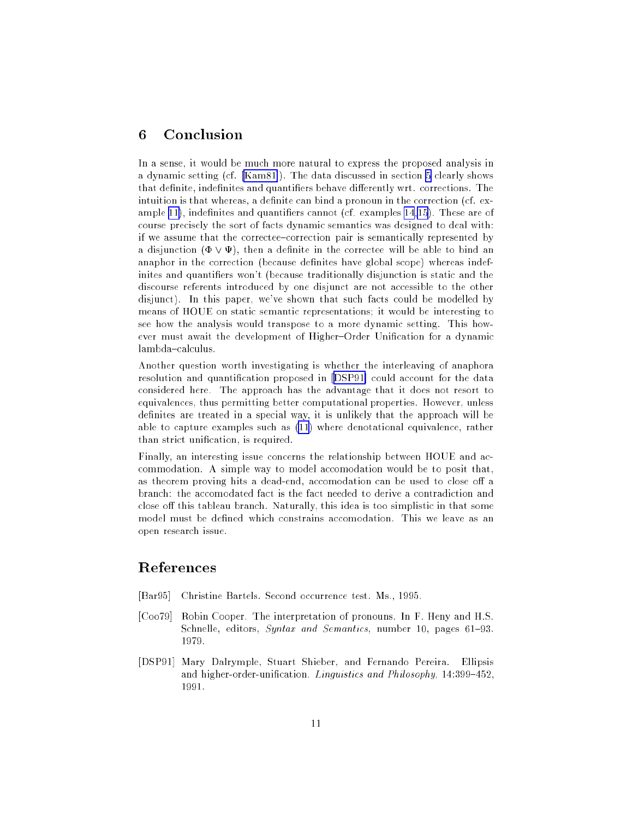# <span id="page-10-0"></span><sup>6</sup> Conclusion

In a sense, it would be much more natural to express the proposed analysis in a dynamic setting (cf. [\[Kam81\]](#page-11-0)). The data discussed in section [5](#page-7-0) clearly shows that definite, indefinites and quantifiers behave differently wrt. corrections. The intuition is that whereas, a definite can bind a pronoun in the correction (cf. ex-ample [11\)](#page-7-0), indefinites and quantifiers cannot (cf. examples [14](#page-9-0),[15](#page-9-0)). These are of course precisely the sort of facts dynamic semantics was designed to deal with: if we assume that the correctee-correction pair is semantically represented by a disjunction  $(\Phi \vee \Psi)$ , then a definite in the correctee will be able to bind an anaphor in the correction (because definites have global scope) whereas indefinites and quantiers won't (because traditionally disjunction is static and the discourse referents introduced by one disjunct are not accessible to the other disjunct). In this paper, we've shown that such facts could be modelled by means of HOUE on static semantic representations; it would be interesting to see how the analysis would transpose to a more dynamic setting. This however must await the development of Higher-Order Unification for a dynamic lambda-calculus.

Another question worth investigating is whether the interleaving of anaphora resolution and quantification proposed in [DSP91] could account for the data considered here. The approach has the advantage that it does not resort to equivalences, thus permitting better computational properties. However, unless definites are treated in a special way, it is unlikely that the approach will be able to capture examples such as ([11](#page-7-0)) where denotational equivalence, rather than strict unication, is required.

Finally, an interesting issue concerns the relationship between HOUE and accommodation. A simple way to model accomodation would be to posit that, as theorem proving hits a dead-end, accomodation can be used to close off a branch: the accomodated fact is the fact needed to derive a contradiction and close off this tableau branch. Naturally, this idea is too simplistic in that some model must be defined which constrains accomodation. This we leave as an open research issue.

# References

- [Bar95] Christine Bartels. Second occurrence test. Ms., 1995.
- [Coo79] Robin Cooper. The interpretation of pronouns. In F. Heny and H.S. Schnelle, editors, Syntax and Semantics, number 10, pages 61-93. 1979.
- [DSP91] Mary Dalrymple, Stuart Shieber, and Fernando Pereira. Ellipsis and higher-order-unification. *Linguistics and Philosophy*,  $14:399-452$ , 1991.